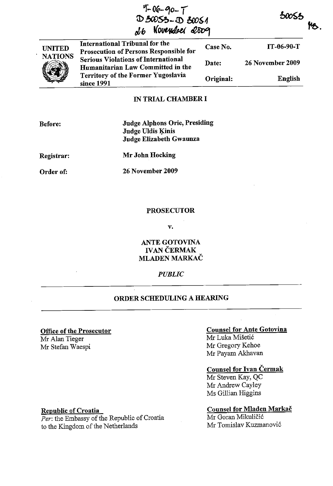| $9 - 06 - 90 - 7$ |                  |
|-------------------|------------------|
| D 30053-D 30051   |                  |
|                   | d6 November 2009 |



International Tribunal for the Prosecution of Persons Responsible for Serious Violations of International Humanitariau Law Committed in the Territory of the Former Yugoslavia since 1991 Case No. Date: Original: IT-06-90-T 26 November 2009 English

### IN TRIAL CHAMBER I

# Judge Alphons Orie, Presiding Judge Uldis Kinis Judge Elizabeth Gwaunza

Registrar:

Mr John Hocking

Order of:

26 November 2009

#### PROSECUTOR

v.

ANTE GOTOVlNA **IVAN ČERMAK** MLADEN MARKAC

## *PUBLIC*

# ORDER SCHEDULING A HEARING

### Office of the Prosecutor

Mr Alan Tieger Mr Stefan Waespi

### Counsel for Ante Gotovina

Jf6.

 $50055$ 

Mr Luka Miseti6 Mr Gregory Kehoe Mr Payam Akhavan

## Counsel for Ivan Cermak

Mr Steven Kay, QC Mr Andrew Cayley Ms Gillian Higgins

### Counsel for Mladen Markac

Mr Goran Mikuličić Mr Tomislav Kuzmanovi6

## Republic of Croatia

*Per:* the Embassy of the Republic of Croatia to the Kingdom of the Netherlands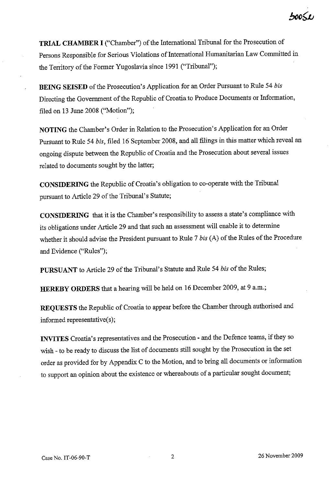$50051$ 

**TRIAL CHAMBER I** ("Chamber") of the International Tribunal for the Prosecution of Persons Responsible for Serious Violations of International Humanitarian Law Committed in the Territory of the Former Yugoslavia since 1991 ("Tribunal");

**BEING SEISED** of the Prosecution's Application for an Order Pursuant to Rule 54 *bis*  Directing the Govemment of the Republic of Croatia to Produce Documents or Information, filed on 13 June 2008 ("Motion");

**NOTING** the Chamber's Order in Relation to the Prosecution's Application for an Order Pursuant to Rule 54 *bis,* filed 16 September 2008, and all filings in this matter which reveal an ongoing dispute between the Republic of Croatia and the Prosecution about several issues related to documents sought by the latter;

**CONSIDERING** the Republic of Croatia's obligation to co-operate with the Tribunal pursuant to Article 29 of the Tribunal's Statute;

**CONSIDERING** that it is the Chamber's responsibility to assess a state's compliance with its obligations under Article 29 and that such an assessment will enable it to determine whether it should advise the President pursuant to Rule 7 *bis* (A) of the Rules of the Procedure and Evidence ("Rules");

**PURSUANT** to Article 29 of the Tribunal's Statute and Rule 54 *bis* of the Rules;

**HEREBY ORDERS** that a hearing will be held on 16 December 2009, at 9 a.m.;

**REQUESTS** the Republic of Croatia to appear before the Chamber through authorised and informed representative(s);

**INVITES** Croatia's representatives and the Prosecution - and the Defence teams, if they so wish - to be ready to discuss the list of documents still sought by the Prosecution in the set order as provided for by Appendix C to the Motion, and to bring all documents or information to support an opinion about the existence or whereabouts of a particular sought document;